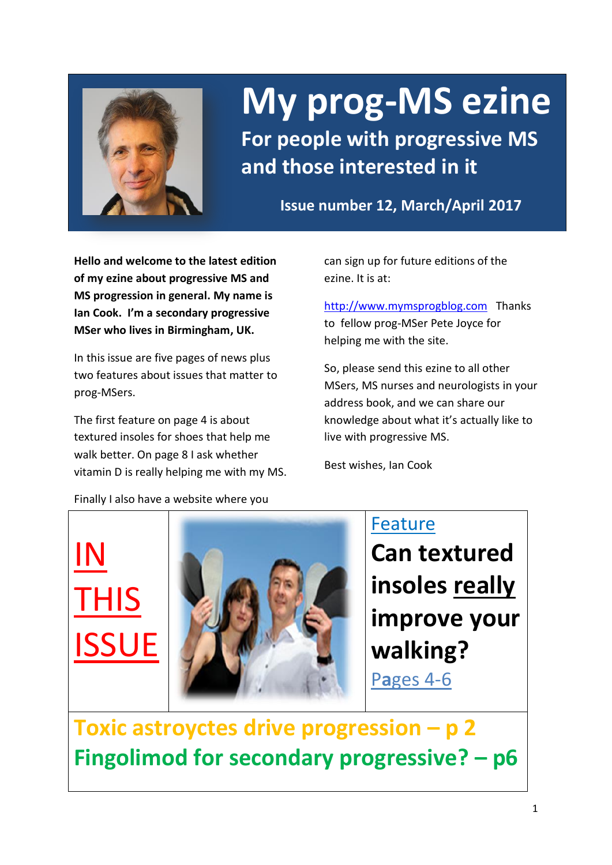

# **My prog-MS ezine**

**For people with progressive MS and those interested in it**

**Issue number 12, March/April 2017**

**Hello and welcome to the latest edition of my ezine about progressive MS and MS progression in general. My name is Ian Cook. I'm a secondary progressive MSer who lives in Birmingham, UK.** 

In this issue are five pages of news plus two features about issues that matter to prog-MSers.

The first feature on page 4 is about textured insoles for shoes that help me walk better. On page 8 I ask whether vitamin D is really helping me with my MS. can sign up for future editions of the ezine. It is at:

[http://www.mymsprogblog.com](http://www.mymsprogblog.com/) Thanks to fellow prog-MSer Pete Joyce for helping me with the site.

So, please send this ezine to all other MSers, MS nurses and neurologists in your address book, and we can share our knowledge about what it's actually like to live with progressive MS.

Best wishes, Ian Cook

Finally I also have a website where you

IN

**THIS** 

IE

Feature **Can textured insoles really improve your walking?** P**a**ges 4-6

**Toxic astroyctes drive progression – p 2 Fingolimod for secondary progressive? – p6**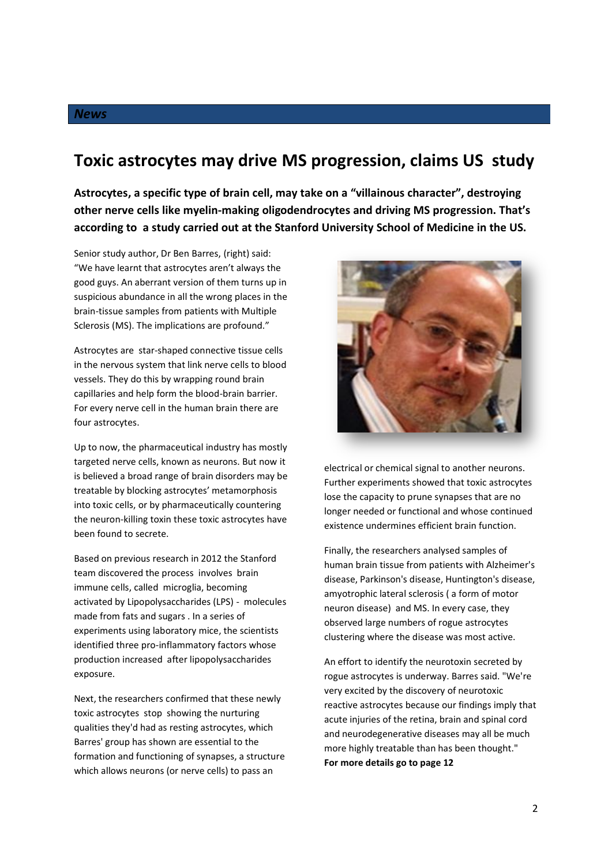# **Toxic astrocytes may drive MS progression, claims US study**

**Astrocytes, a specific type of brain cell, may take on a "villainous character", destroying other nerve cells like myelin-making oligodendrocytes and driving MS progression. That's according to a study carried out at the Stanford University School of Medicine in the US.** 

Senior study author, Dr Ben Barres, (right) said: "We have learnt that astrocytes aren't always the good guys. An aberrant version of them turns up in suspicious abundance in all the wrong places in the brain-tissue samples from patients with Multiple Sclerosis (MS). The implications are profound."

Astrocytes are star-shaped connective tissue cells in the nervous system that link nerve cells to blood vessels. They do this by wrapping round brain capillaries and help form the blood-brain barrier. For every nerve cell in the human brain there are four astrocytes.

Up to now, the pharmaceutical industry has mostly targeted nerve cells, known as neurons. But now it is believed a broad range of brain disorders may be treatable by blocking astrocytes' metamorphosis into toxic cells, or by pharmaceutically countering the neuron-killing toxin these toxic astrocytes have been found to secrete.

Based on previous research in 2012 the Stanford team discovered the process involves brain immune cells, called microglia, becoming activated by Lipopolysaccharides (LPS) - molecules made from fats and sugars . In a series of experiments using laboratory mice, the scientists identified three pro-inflammatory factors whose production increased after lipopolysaccharides exposure.

Next, the researchers confirmed that these newly toxic astrocytes stop showing the nurturing qualities they'd had as resting astrocytes, which Barres' group has shown are essential to the formation and functioning of synapses, a structure which allows neurons (or nerve cells) to pass an



electrical or chemical signal to another neurons. Further experiments showed that toxic astrocytes lose the capacity to prune synapses that are no longer needed or functional and whose continued existence undermines efficient brain function.

Finally, the researchers analysed samples of human brain tissue from patients with Alzheimer's disease, Parkinson's disease, Huntington's disease, amyotrophic lateral sclerosis ( a form of motor neuron disease) and MS. In every case, they observed large numbers of rogue astrocytes clustering where the disease was most active.

An effort to identify the neurotoxin secreted by rogue astrocytes is underway. Barres said. "We're very excited by the discovery of neurotoxic reactive astrocytes because our findings imply that acute injuries of the retina, brain and spinal cord and neurodegenerative diseases may all be much more highly treatable than has been thought." **For more details go to page 12**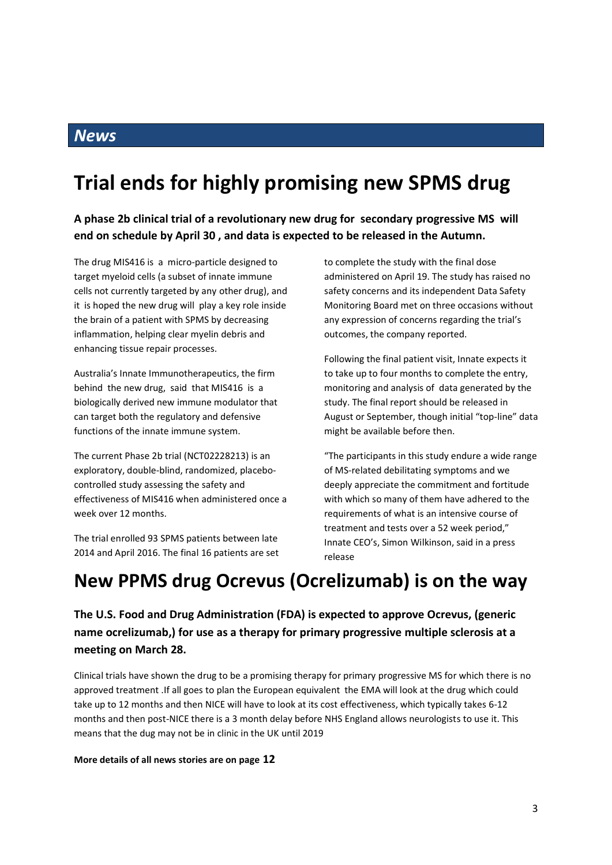### *News*

# **Trial ends for highly promising new SPMS drug**

**A phase 2b clinical trial of a revolutionary new drug for secondary progressive MS will end on schedule by April 30 , and data is expected to be released in the Autumn.**

The drug MIS416 is a micro-particle designed to target myeloid cells (a subset of innate immune cells not currently targeted by any other drug), and it is hoped the new drug will play a key role inside the brain of a patient with SPMS by decreasing inflammation, helping clear myelin debris and enhancing tissue repair processes.

Australia's Innate Immunotherapeutics, the firm behind the new drug, said that MIS416 is a biologically derived new immune modulator that can target both the regulatory and defensive functions of the innate immune system.

The current Phase 2b trial (NCT02228213) is an exploratory, double-blind, randomized, placebocontrolled study assessing the safety and effectiveness of MIS416 when administered once a week over 12 months.

The trial enrolled 93 SPMS patients between late 2014 and April 2016. The final 16 patients are set to complete the study with the final dose administered on April 19. The study has raised no safety concerns and its independent Data Safety Monitoring Board met on three occasions without any expression of concerns regarding the trial's outcomes, the company reported.

Following the final patient visit, Innate expects it to take up to four months to complete the entry, monitoring and analysis of data generated by the study. The final report should be released in August or September, though initial "top-line" data might be available before then.

"The participants in this study endure a wide range of MS-related debilitating symptoms and we deeply appreciate the commitment and fortitude with which so many of them have adhered to the requirements of what is an intensive course of treatment and tests over a 52 week period," Innate CEO's, Simon Wilkinson, said in a press release

# **New PPMS drug Ocrevus (Ocrelizumab) is on the way**

#### **The U.S. Food and Drug Administration (FDA) is expected to approve Ocrevus, (generic name ocrelizumab,) for use as a therapy for primary progressive multiple sclerosis at a meeting on March 28.**

Clinical trials have shown the drug to be a promising therapy for primary progressive MS for which there is no approved treatment .If all goes to plan the European equivalent the EMA will look at the drug which could take up to 12 months and then NICE will have to look at its cost effectiveness, which typically takes 6-12 months and then post-NICE there is a 3 month delay before NHS England allows neurologists to use it. This means that the dug may not be in clinic in the UK until 2019

#### **More details of all news stories are on page 12**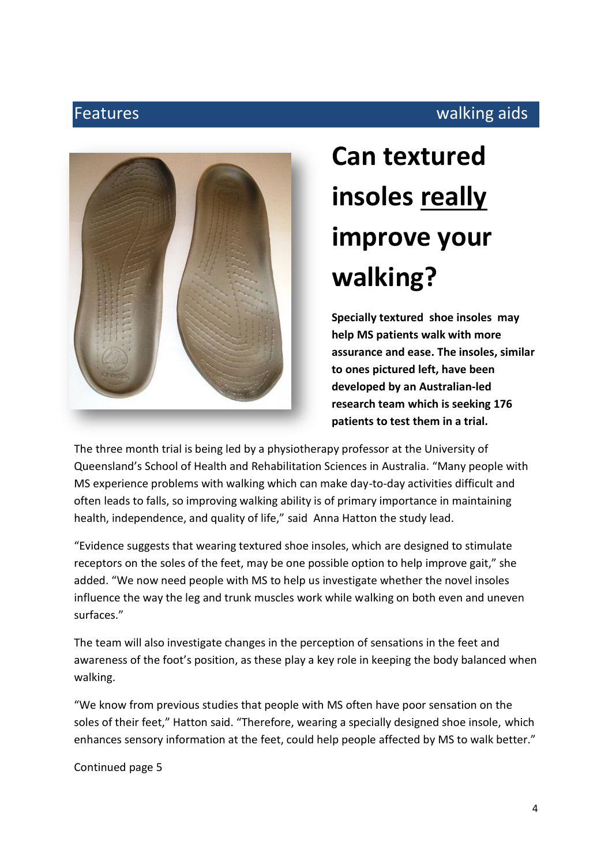# Features **Executive Structures** walking aids **Features**



# **Can textured insoles really improve your walking?**

**Specially textured shoe insoles may help MS patients walk with more assurance and ease. The insoles, similar to ones pictured left, have been developed by an Australian-led research team which is seeking 176 patients to test them in a trial.**

The three month trial is being led by a physiotherapy professor at the University of Queensland's School of Health and Rehabilitation Sciences in Australia. "Many people with MS experience problems with walking which can make day-to-day activities difficult and often leads to falls, so improving walking ability is of primary importance in maintaining health, independence, and quality of life," said Anna Hatton the study lead.

"Evidence suggests that wearing textured shoe insoles, which are designed to stimulate receptors on the soles of the feet, may be one possible option to help improve gait," she added. "We now need people with MS to help us investigate whether the novel insoles influence the way the leg and trunk muscles work while walking on both even and uneven surfaces."

The team will also investigate changes in the perception of sensations in the feet and awareness of the foot's position, as these play a key role in keeping the body balanced when walking.

"We know from previous studies that people with MS often have poor sensation on the soles of their feet," Hatton said. "Therefore, wearing a specially designed shoe insole, which enhances sensory information at the feet, could help people affected by MS to walk better."

Continued page 5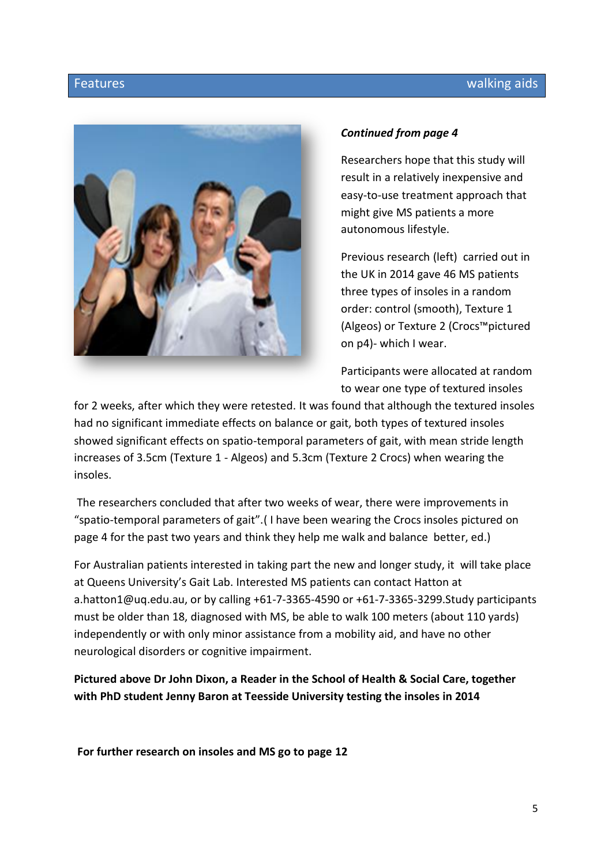

#### *Continued from page 4*

Researchers hope that this study will result in a relatively inexpensive and easy-to-use treatment approach that might give MS patients a more autonomous lifestyle.

Previous research (left) carried out in the UK in 2014 gave 46 MS patients three types of insoles in a random order: control (smooth), Texture 1 (Algeos) or Texture 2 (Crocs™pictured on p4)- which I wear.

Participants were allocated at random to wear one type of textured insoles

for 2 weeks, after which they were retested. It was found that although the textured insoles had no significant immediate effects on balance or gait, both types of textured insoles showed significant effects on spatio-temporal parameters of gait, with mean stride length increases of 3.5cm (Texture 1 - Algeos) and 5.3cm (Texture 2 Crocs) when wearing the insoles.

The researchers concluded that after two weeks of wear, there were improvements in "spatio-temporal parameters of gait".( I have been wearing the Crocs insoles pictured on page 4 for the past two years and think they help me walk and balance better, ed.)

For Australian patients interested in taking part the new and longer study, it will take place at Queens University's Gait Lab. Interested MS patients can contact Hatton at a.hatton1@uq.edu.au, or by calling +61-7-3365-4590 or +61-7-3365-3299.Study participants must be older than 18, diagnosed with MS, be able to walk 100 meters (about 110 yards) independently or with only minor assistance from a mobility aid, and have no other neurological disorders or cognitive impairment.

**Pictured above Dr John Dixon, a Reader in the School of Health & Social Care, together with PhD student Jenny Baron at Teesside University testing the insoles in 2014**

**For further research on insoles and MS go to page 12**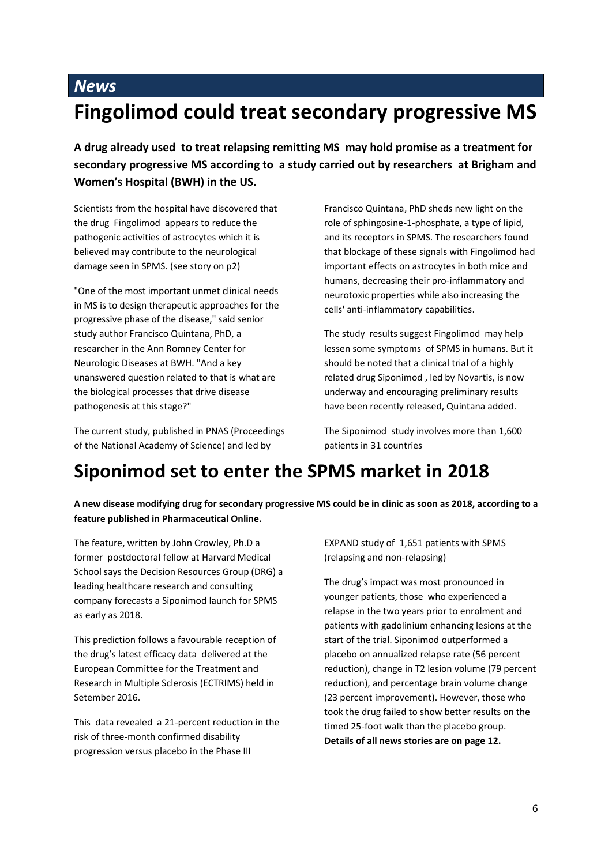# *News* **Fingolimod could treat secondary progressive MS**

**A drug already used to treat relapsing remitting MS may hold promise as a treatment for secondary progressive MS according to a study carried out by researchers at Brigham and Women's Hospital (BWH) in the US.** 

Scientists from the hospital have discovered that the drug Fingolimod appears to reduce the pathogenic activities of astrocytes which it is believed may contribute to the neurological damage seen in SPMS. (see story on p2)

"One of the most important unmet clinical needs in MS is to design therapeutic approaches for the progressive phase of the disease," said senior study author Francisco Quintana, PhD, a researcher in the Ann Romney Center for Neurologic Diseases at BWH. "And a key unanswered question related to that is what are the biological processes that drive disease pathogenesis at this stage?"

The current study, published in PNAS (Proceedings of the National Academy of Science) and led by

Francisco Quintana, PhD sheds new light on the role of sphingosine-1-phosphate, a type of lipid, and its receptors in SPMS. The researchers found that blockage of these signals with Fingolimod had important effects on astrocytes in both mice and humans, decreasing their pro-inflammatory and neurotoxic properties while also increasing the cells' anti-inflammatory capabilities.

The study results suggest Fingolimod may help lessen some symptoms of SPMS in humans. But it should be noted that a clinical trial of a highly related drug Siponimod , led by Novartis, is now underway and encouraging preliminary results have been recently released, Quintana added.

The Siponimod study involves more than 1,600 patients in 31 countries

# **Siponimod set to enter the SPMS market in 2018**

**A new disease modifying drug for secondary progressive MS could be in clinic as soon as 2018, according to a feature published in Pharmaceutical Online.**

The feature, written by John Crowley, Ph.D a former postdoctoral fellow at Harvard Medical School says the Decision Resources Group (DRG) a leading healthcare research and consulting company forecasts a Siponimod launch for SPMS as early as 2018.

This prediction follows a favourable reception of the drug's latest efficacy data delivered at the European Committee for the Treatment and Research in Multiple Sclerosis (ECTRIMS) held in Setember 2016.

This data revealed a 21-percent reduction in the risk of three-month confirmed disability progression versus placebo in the Phase III

EXPAND study of 1,651 patients with SPMS (relapsing and non-relapsing)

The drug's impact was most pronounced in younger patients, those who experienced a relapse in the two years prior to enrolment and patients with gadolinium enhancing lesions at the start of the trial. Siponimod outperformed a placebo on annualized relapse rate (56 percent reduction), change in T2 lesion volume (79 percent reduction), and percentage brain volume change (23 percent improvement). However, those who took the drug failed to show better results on the timed 25-foot walk than the placebo group. **Details of all news stories are on page 12.**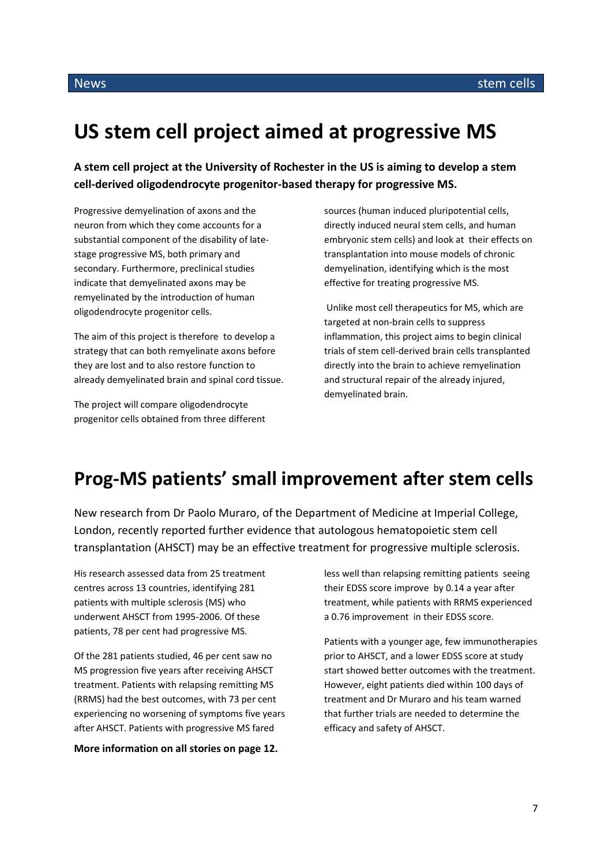# **US stem cell project aimed at progressive MS**

**A stem cell project at the University of Rochester in the US is aiming to develop a stem cell-derived oligodendrocyte progenitor-based therapy for progressive MS.**

Progressive demyelination of axons and the neuron from which they come accounts for a substantial component of the disability of latestage progressive MS, both primary and secondary. Furthermore, preclinical studies indicate that demyelinated axons may be remyelinated by the introduction of human oligodendrocyte progenitor cells.

The aim of this project is therefore to develop a strategy that can both remyelinate axons before they are lost and to also restore function to already demyelinated brain and spinal cord tissue.

The project will compare oligodendrocyte progenitor cells obtained from three different sources (human induced pluripotential cells, directly induced neural stem cells, and human embryonic stem cells) and look at their effects on transplantation into mouse models of chronic demyelination, identifying which is the most effective for treating progressive MS.

Unlike most cell therapeutics for MS, which are targeted at non-brain cells to suppress inflammation, this project aims to begin clinical trials of stem cell-derived brain cells transplanted directly into the brain to achieve remyelination and structural repair of the already injured, demyelinated brain.

# **Prog-MS patients' small improvement after stem cells**

New research from Dr Paolo Muraro, of the Department of Medicine at Imperial College, London, recently reported further evidence that autologous hematopoietic stem cell transplantation (AHSCT) may be an effective treatment for progressive multiple sclerosis.

His research assessed data from 25 treatment centres across 13 countries, identifying 281 patients with multiple sclerosis (MS) who underwent AHSCT from 1995-2006. Of these patients, 78 per cent had progressive MS.

Of the 281 patients studied, 46 per cent saw no MS progression five years after receiving AHSCT treatment. Patients with relapsing remitting MS (RRMS) had the best outcomes, with 73 per cent experiencing no worsening of symptoms five years after AHSCT. Patients with progressive MS fared

**More information on all stories on page 12.**

less well than relapsing remitting patients seeing their EDSS score improve by 0.14 a year after treatment, while patients with RRMS experienced a 0.76 improvement in their EDSS score.

Patients with a younger age, few immunotherapies prior to AHSCT, and a lower EDSS score at study start showed better outcomes with the treatment. However, eight patients died within 100 days of treatment and Dr Muraro and his team warned that further trials are needed to determine the efficacy and safety of AHSCT.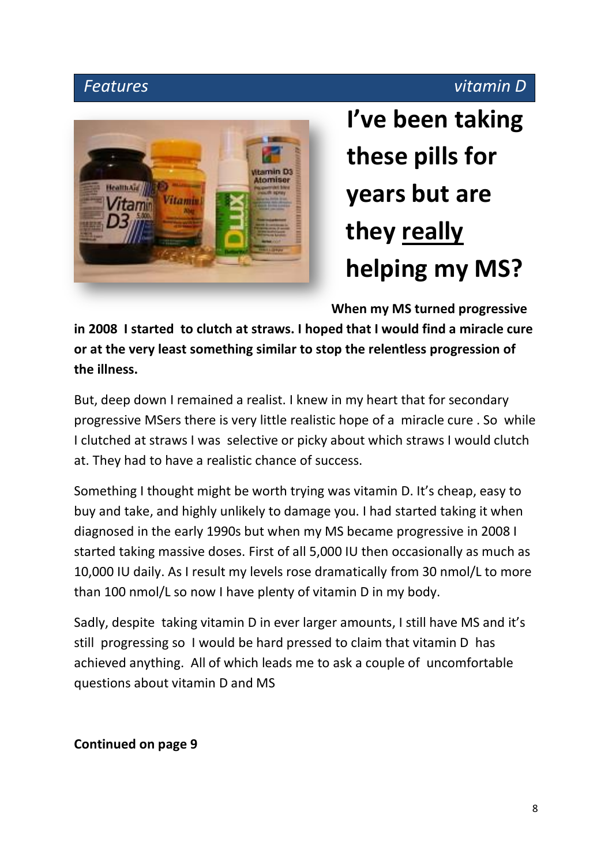# *Features vitamin D*



**I've been taking these pills for years but are they really helping my MS?**

**When my MS turned progressive** 

**in 2008 I started to clutch at straws. I hoped that I would find a miracle cure or at the very least something similar to stop the relentless progression of the illness.** 

But, deep down I remained a realist. I knew in my heart that for secondary progressive MSers there is very little realistic hope of a miracle cure . So while I clutched at straws I was selective or picky about which straws I would clutch at. They had to have a realistic chance of success.

Something I thought might be worth trying was vitamin D. It's cheap, easy to buy and take, and highly unlikely to damage you. I had started taking it when diagnosed in the early 1990s but when my MS became progressive in 2008 I started taking massive doses. First of all 5,000 IU then occasionally as much as 10,000 IU daily. As I result my levels rose dramatically from 30 nmol/L to more than 100 nmol/L so now I have plenty of vitamin D in my body.

Sadly, despite taking vitamin D in ever larger amounts, I still have MS and it's still progressing so I would be hard pressed to claim that vitamin D has achieved anything. All of which leads me to ask a couple of uncomfortable questions about vitamin D and MS

# **Continued on page 9**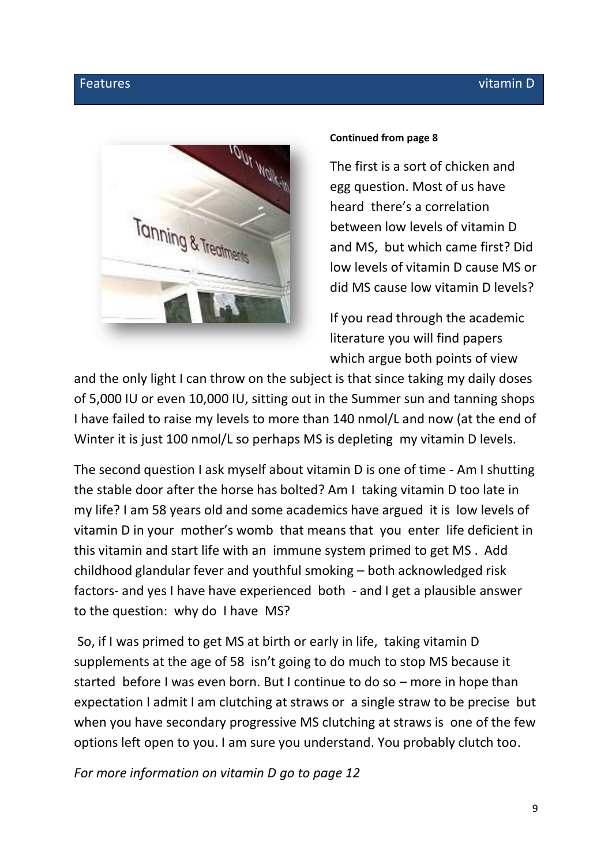

#### **Continued from page 8**

The first is a sort of chicken and egg question. Most of us have heard there's a correlation between low levels of vitamin D and MS, but which came first? Did low levels of vitamin D cause MS or did MS cause low vitamin D levels?

If you read through the academic literature you will find papers which argue both points of view

and the only light I can throw on the subject is that since taking my daily doses of 5,000 IU or even 10,000 IU, sitting out in the Summer sun and tanning shops I have failed to raise my levels to more than 140 nmol/L and now (at the end of Winter it is just 100 nmol/L so perhaps MS is depleting my vitamin D levels.

The second question I ask myself about vitamin D is one of time - Am I shutting the stable door after the horse has bolted? Am I taking vitamin D too late in my life? I am 58 years old and some academics have argued it is low levels of vitamin D in your mother's womb that means that you enter life deficient in this vitamin and start life with an immune system primed to get MS . Add childhood glandular fever and youthful smoking – both acknowledged risk factors- and yes I have have experienced both - and I get a plausible answer to the question: why do I have MS?

So, if I was primed to get MS at birth or early in life, taking vitamin D supplements at the age of 58 isn't going to do much to stop MS because it started before I was even born. But I continue to do so – more in hope than expectation I admit I am clutching at straws or a single straw to be precise but when you have secondary progressive MS clutching at straws is one of the few options left open to you. I am sure you understand. You probably clutch too.

*For more information on vitamin D go to page 12*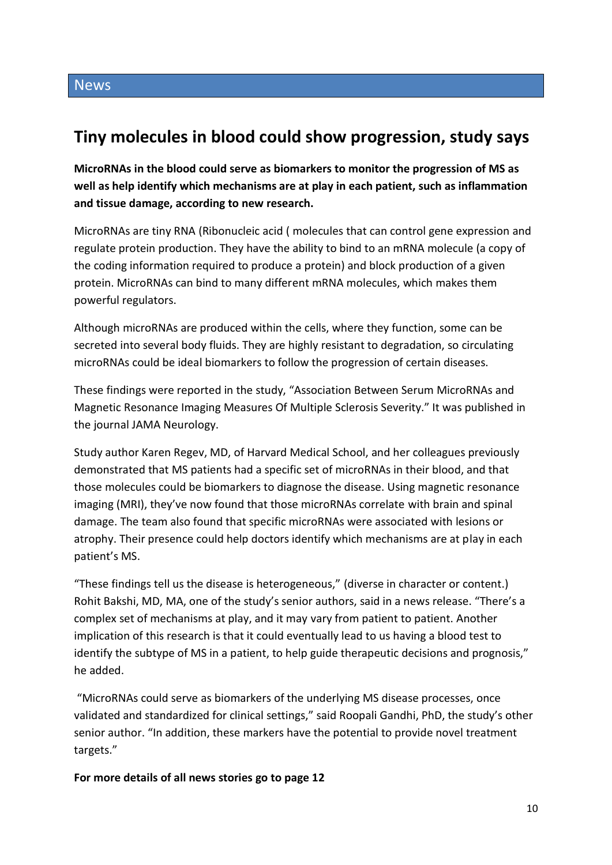# **Tiny molecules in blood could show progression, study says**

**MicroRNAs in the blood could serve as biomarkers to monitor the progression of MS as well as help identify which mechanisms are at play in each patient, such as inflammation and tissue damage, according to new research.**

MicroRNAs are tiny RNA (Ribonucleic acid ( molecules that can control gene expression and regulate protein production. They have the ability to bind to an mRNA molecule (a copy of the coding information required to produce a protein) and block production of a given protein. MicroRNAs can bind to many different mRNA molecules, which makes them powerful regulators.

Although microRNAs are produced within the cells, where they function, some can be secreted into several body fluids. They are highly resistant to degradation, so circulating microRNAs could be ideal biomarkers to follow the progression of certain diseases.

These findings were reported in the study, "Association Between Serum MicroRNAs and Magnetic Resonance Imaging Measures Of Multiple Sclerosis Severity." It was published in the journal JAMA Neurology.

Study author Karen Regev, MD, of Harvard Medical School, and her colleagues previously demonstrated that MS patients had a specific set of microRNAs in their blood, and that those molecules could be biomarkers to diagnose the disease. Using magnetic resonance imaging (MRI), they've now found that those microRNAs correlate with brain and spinal damage. The team also found that specific microRNAs were associated with lesions or atrophy. Their presence could help doctors identify which mechanisms are at play in each patient's MS.

"These findings tell us the disease is heterogeneous," (diverse in character or content.) Rohit Bakshi, MD, MA, one of the study's senior authors, said in a news release. "There's a complex set of mechanisms at play, and it may vary from patient to patient. Another implication of this research is that it could eventually lead to us having a blood test to identify the subtype of MS in a patient, to help guide therapeutic decisions and prognosis," he added.

"MicroRNAs could serve as biomarkers of the underlying MS disease processes, once validated and standardized for clinical settings," said Roopali Gandhi, PhD, the study's other senior author. "In addition, these markers have the potential to provide novel treatment targets."

**For more details of all news stories go to page 12**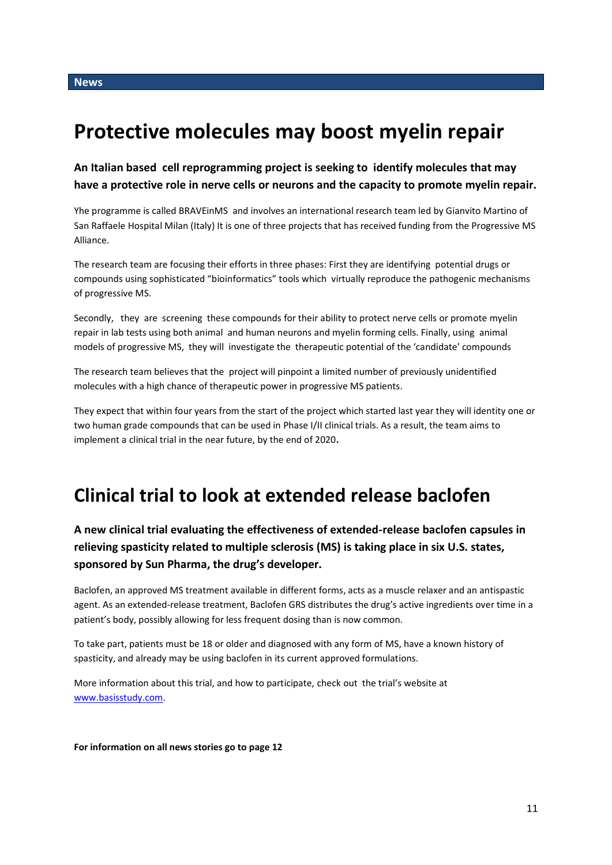# **Protective molecules may boost myelin repair**

**An Italian based cell reprogramming project is seeking to identify molecules that may have a protective role in nerve cells or neurons and the capacity to promote myelin repair.** 

Yhe programme is called BRAVEinMS and involves an international research team led by Gianvito Martino of San Raffaele Hospital Milan (Italy) It is one of three projects that has received funding from the Progressive MS Alliance.

The research team are focusing their efforts in three phases: First they are identifying potential drugs or compounds using sophisticated "bioinformatics" tools which virtually reproduce the pathogenic mechanisms of progressive MS.

Secondly, they are screening these compounds for their ability to protect nerve cells or promote myelin repair in lab tests using both animal and human neurons and myelin forming cells. Finally, using animal models of progressive MS, they will investigate the therapeutic potential of the 'candidate' compounds

The research team believes that the project will pinpoint a limited number of previously unidentified molecules with a high chance of therapeutic power in progressive MS patients.

They expect that within four years from the start of the project which started last year they will identity one or two human grade compounds that can be used in Phase I/II clinical trials. As a result, the team aims to implement a clinical trial in the near future, by the end of 2020**.**

# **Clinical trial to look at extended release baclofen**

#### **A new clinical trial evaluating the effectiveness of extended-release baclofen capsules in relieving spasticity related to multiple sclerosis (MS) is taking place in six U.S. states, sponsored by Sun Pharma, the drug's developer.**

Baclofen, an approved MS treatment available in different forms, acts as a muscle relaxer and an antispastic agent. As an extended-release treatment, Baclofen GRS distributes the drug's active ingredients over time in a patient's body, possibly allowing for less frequent dosing than is now common.

To take part, patients must be 18 or older and diagnosed with any form of MS, have a known history of spasticity, and already may be using baclofen in its current approved formulations.

More information about this trial, and how to participate, check out the trial's website at [www.basisstudy.com.](http://www.basisstudy.com/)

**For information on all news stories go to page 12**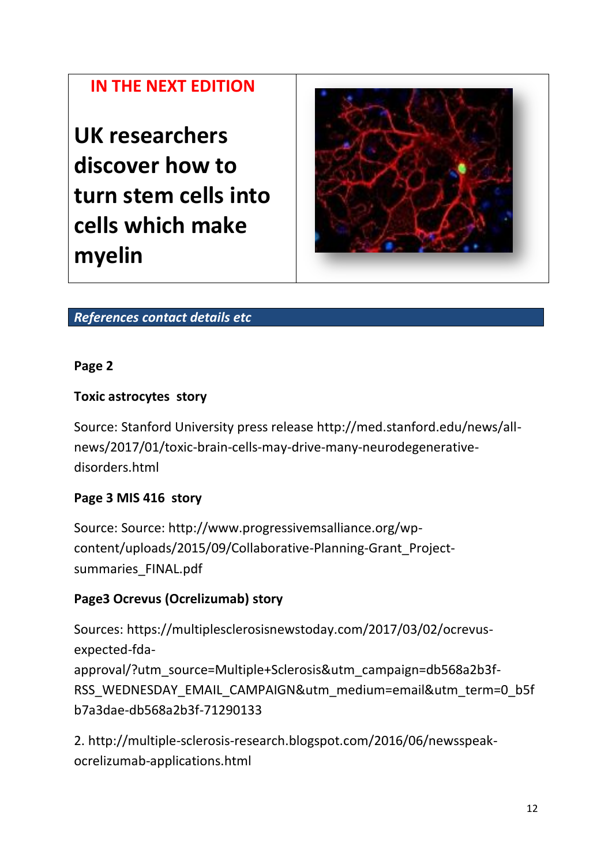# **IN THE NEXT EDITION**

**UK researchers discover how to turn stem cells into cells which make myelin** 



# *References contact details etc*

#### **Page 2**

#### **Toxic astrocytes story**

Source: Stanford University press release http://med.stanford.edu/news/allnews/2017/01/toxic-brain-cells-may-drive-many-neurodegenerativedisorders.html

#### **Page 3 MIS 416 story**

Source: Source: http://www.progressivemsalliance.org/wpcontent/uploads/2015/09/Collaborative-Planning-Grant\_Projectsummaries\_FINAL.pdf

#### **Page3 Ocrevus (Ocrelizumab) story**

Sources: https://multiplesclerosisnewstoday.com/2017/03/02/ocrevusexpected-fdaapproval/?utm\_source=Multiple+Sclerosis&utm\_campaign=db568a2b3f-RSS\_WEDNESDAY\_EMAIL\_CAMPAIGN&utm\_medium=email&utm\_term=0\_b5f b7a3dae-db568a2b3f-71290133

2. http://multiple-sclerosis-research.blogspot.com/2016/06/newsspeakocrelizumab-applications.html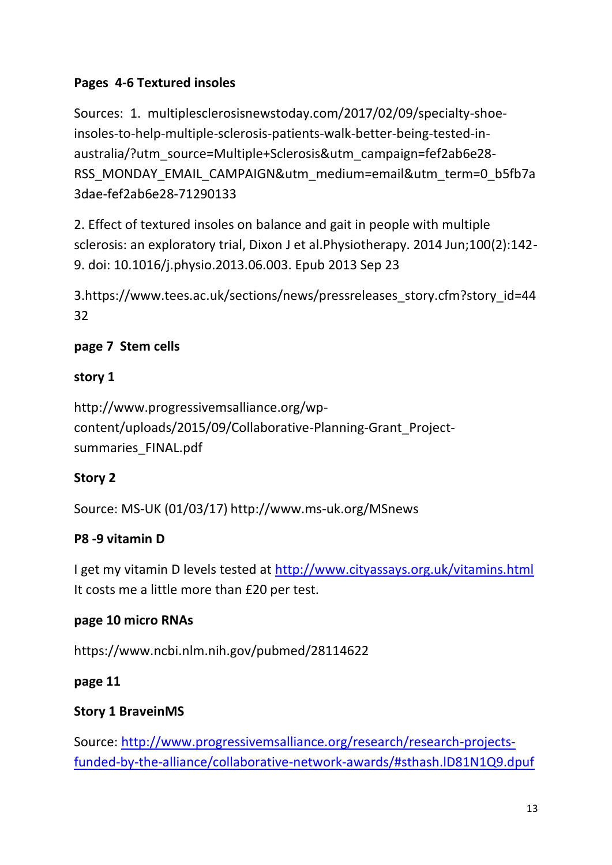# **Pages 4-6 Textured insoles**

Sources: 1. multiplesclerosisnewstoday.com/2017/02/09/specialty-shoeinsoles-to-help-multiple-sclerosis-patients-walk-better-being-tested-inaustralia/?utm\_source=Multiple+Sclerosis&utm\_campaign=fef2ab6e28-RSS\_MONDAY\_EMAIL\_CAMPAIGN&utm\_medium=email&utm\_term=0\_b5fb7a 3dae-fef2ab6e28-71290133

2. Effect of textured insoles on balance and gait in people with multiple sclerosis: an exploratory trial, Dixon J et al.Physiotherapy. 2014 Jun;100(2):142- 9. doi: 10.1016/j.physio.2013.06.003. Epub 2013 Sep 23

3.https://www.tees.ac.uk/sections/news/pressreleases\_story.cfm?story\_id=44 32

# **page 7 Stem cells**

# **story 1**

http://www.progressivemsalliance.org/wpcontent/uploads/2015/09/Collaborative-Planning-Grant\_Projectsummaries\_FINAL.pdf

# **Story 2**

Source: MS-UK (01/03/17) http://www.ms-uk.org/MSnews

# **P8 -9 vitamin D**

I get my vitamin D levels tested at<http://www.cityassays.org.uk/vitamins.html> It costs me a little more than £20 per test.

# **page 10 micro RNAs**

https://www.ncbi.nlm.nih.gov/pubmed/28114622

# **page 11**

# **Story 1 BraveinMS**

Source: [http://www.progressivemsalliance.org/research/research-projects](http://www.progressivemsalliance.org/research/research-projects-funded-by-the-alliance/collaborative-network-awards/#sthash.lD81N1Q9.dpuf)[funded-by-the-alliance/collaborative-network-awards/#sthash.lD81N1Q9.dpuf](http://www.progressivemsalliance.org/research/research-projects-funded-by-the-alliance/collaborative-network-awards/#sthash.lD81N1Q9.dpuf)